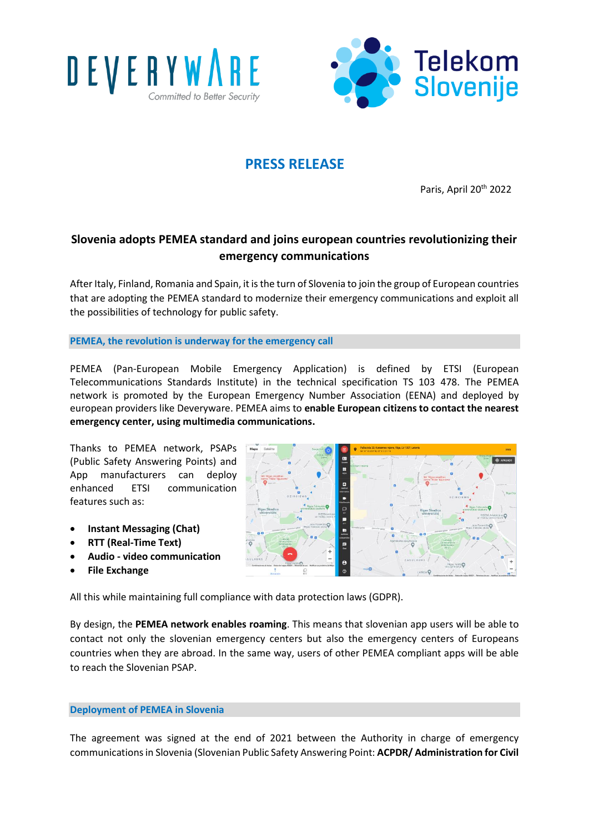



# **PRESS RELEASE**

Paris, April 20<sup>th</sup> 2022

# **Slovenia adopts PEMEA standard and joins european countries revolutionizing their emergency communications**

After Italy, Finland, Romania and Spain, it is the turn of Slovenia to join the group of European countries that are adopting the PEMEA standard to modernize their emergency communications and exploit all the possibilities of technology for public safety.

## **PEMEA, the revolution is underway for the emergency call**

PEMEA (Pan-European Mobile Emergency Application) is defined by ETSI (European Telecommunications Standards Institute) in the technical specification TS 103 478. The PEMEA network is promoted by the European Emergency Number Association (EENA) and deployed by european providers like Deveryware. PEMEA aims to **enable European citizens to contact the nearest emergency center, using multimedia communications.**

Thanks to PEMEA network, PSAPs (Public Safety Answering Points) and App manufacturers can deploy enhanced ETSI communication features such as:

- **Instant Messaging (Chat)**
- **RTT (Real-Time Text)**
- **Audio - video communication**
- **File Exchange**



All this while maintaining full compliance with data protection laws (GDPR).

By design, the **PEMEA network enables roaming**. This means that slovenian app users will be able to contact not only the slovenian emergency centers but also the emergency centers of Europeans countries when they are abroad. In the same way, users of other PEMEA compliant apps will be able to reach the Slovenian PSAP.

#### **Deployment of PEMEA in Slovenia**

The agreement was signed at the end of 2021 between the Authority in charge of emergency communications in Slovenia (Slovenian Public Safety Answering Point: **ACPDR/ Administration for Civil**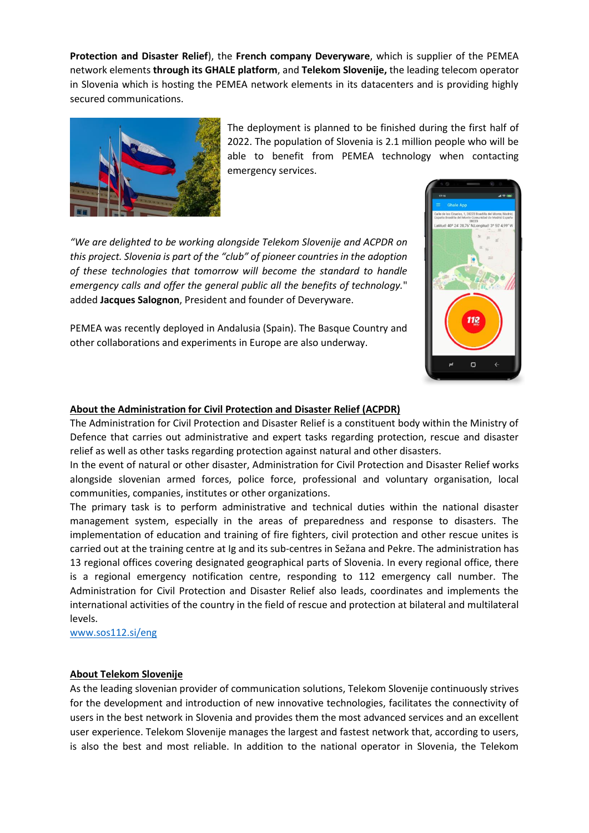**Protection and Disaster Relief**), the **French company Deveryware**, which is supplier of the PEMEA network elements **through its GHALE platform**, and **Telekom Slovenije,** the leading telecom operator in Slovenia which is hosting the PEMEA network elements in its datacenters and is providing highly secured communications.



The deployment is planned to be finished during the first half of 2022. The population of Slovenia is 2.1 million people who will be able to benefit from PEMEA technology when contacting emergency services.

*"We are delighted to be working alongside Telekom Slovenije and ACPDR on this project. Slovenia is part of the "club" of pioneer countries in the adoption of these technologies that tomorrow will become the standard to handle emergency calls and offer the general public all the benefits of technology.*" added **Jacques Salognon**, President and founder of Deveryware.

PEMEA was recently deployed in Andalusia (Spain). The Basque Country and other collaborations and experiments in Europe are also underway.



## **About the Administration for Civil Protection and Disaster Relief (ACPDR)**

The Administration for Civil Protection and Disaster Relief is a constituent body within the Ministry of Defence that carries out administrative and expert tasks regarding protection, rescue and disaster relief as well as other tasks regarding protection against natural and other disasters.

In the event of natural or other disaster, Administration for Civil Protection and Disaster Relief works alongside slovenian armed forces, police force, professional and voluntary organisation, local communities, companies, institutes or other organizations.

The primary task is to perform administrative and technical duties within the national disaster management system, especially in the areas of preparedness and response to disasters. The implementation of education and training of fire fighters, civil protection and other rescue unites is carried out at the training centre at Ig and its sub-centres in Sežana and Pekre. The administration has 13 regional offices covering designated geographical parts of Slovenia. In every regional office, there is a regional emergency notification centre, responding to 112 emergency call number. The Administration for Civil Protection and Disaster Relief also leads, coordinates and implements the international activities of the country in the field of rescue and protection at bilateral and multilateral levels.

[www.sos112.si/eng](http://www.sos112.si/eng/page.php?src=x1.htm)

#### **About Telekom Slovenije**

As the leading slovenian provider of communication solutions, Telekom Slovenije continuously strives for the development and introduction of new innovative technologies, facilitates the connectivity of users in the best network in Slovenia and provides them the most advanced services and an excellent user experience. Telekom Slovenije manages the largest and fastest network that, according to users, is also the best and most reliable. In addition to the national operator in Slovenia, the Telekom